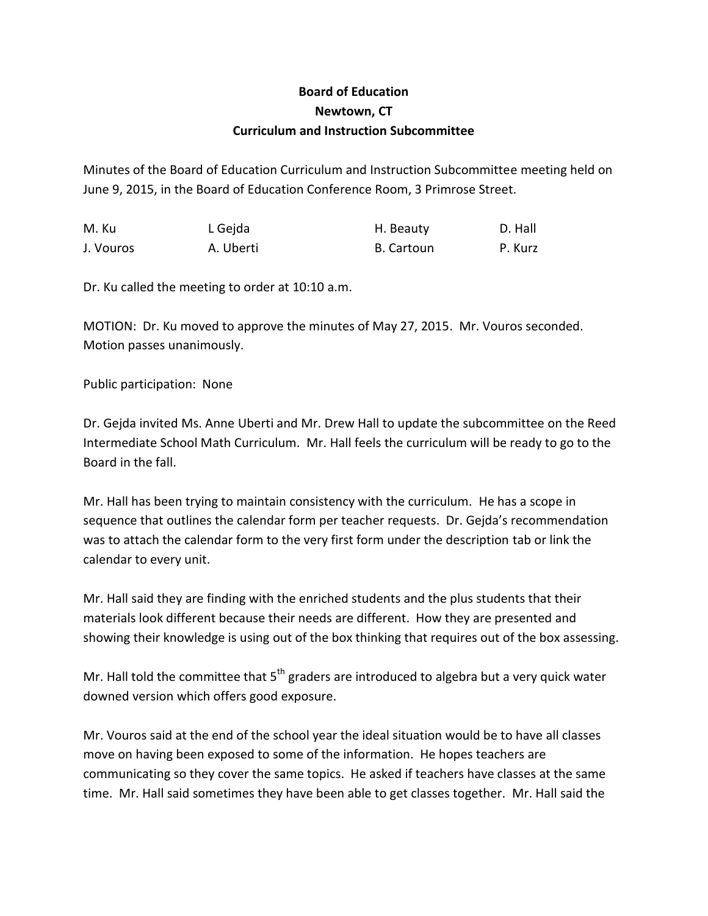## **Board of Education Newtown, CT Curriculum and Instruction Subcommittee**

Minutes of the Board of Education Curriculum and Instruction Subcommittee meeting held on June 9, 2015, in the Board of Education Conference Room, 3 Primrose Street.

| M. Ku     | L Gejda   | H. Beauty  | D. Hall |
|-----------|-----------|------------|---------|
| J. Vouros | A. Uberti | B. Cartoun | P. Kurz |

Dr. Ku called the meeting to order at 10:10 a.m.

MOTION: Dr. Ku moved to approve the minutes of May 27, 2015. Mr. Vouros seconded. Motion passes unanimously.

Public participation: None

Dr. Gejda invited Ms. Anne Uberti and Mr. Drew Hall to update the subcommittee on the Reed Intermediate School Math Curriculum. Mr. Hall feels the curriculum will be ready to go to the Board in the fall.

Mr. Hall has been trying to maintain consistency with the curriculum. He has a scope in sequence that outlines the calendar form per teacher requests. Dr. Gejda's recommendation was to attach the calendar form to the very first form under the description tab or link the calendar to every unit.

Mr. Hall said they are finding with the enriched students and the plus students that their materials look different because their needs are different. How they are presented and showing their knowledge is using out of the box thinking that requires out of the box assessing.

Mr. Hall told the committee that  $5<sup>th</sup>$  graders are introduced to algebra but a very quick water downed version which offers good exposure.

Mr. Vouros said at the end of the school year the ideal situation would be to have all classes move on having been exposed to some of the information. He hopes teachers are communicating so they cover the same topics. He asked if teachers have classes at the same time. Mr. Hall said sometimes they have been able to get classes together. Mr. Hall said the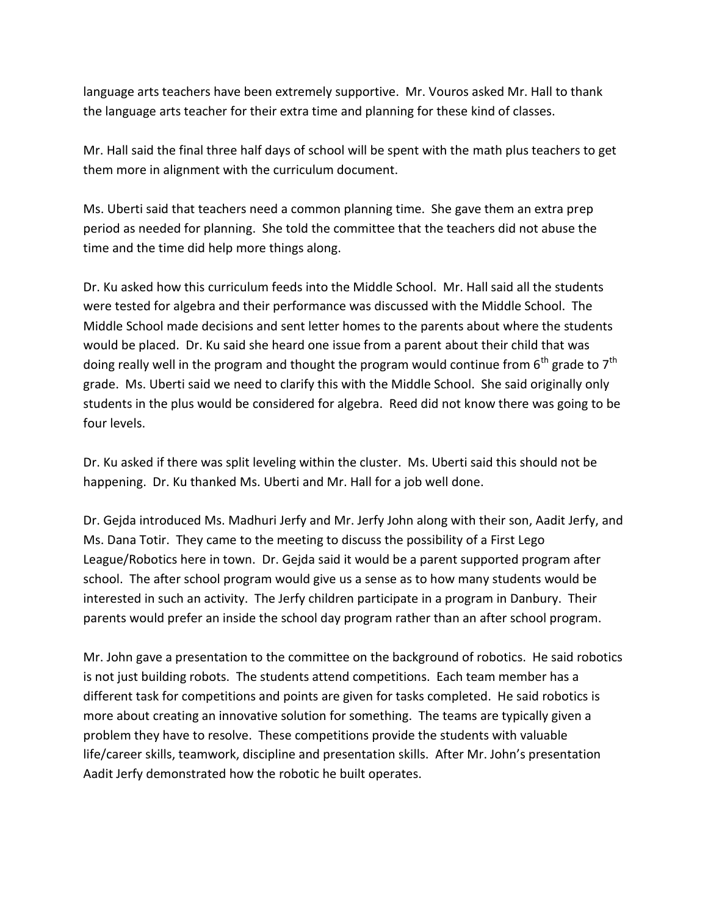language arts teachers have been extremely supportive. Mr. Vouros asked Mr. Hall to thank the language arts teacher for their extra time and planning for these kind of classes.

Mr. Hall said the final three half days of school will be spent with the math plus teachers to get them more in alignment with the curriculum document.

Ms. Uberti said that teachers need a common planning time. She gave them an extra prep period as needed for planning. She told the committee that the teachers did not abuse the time and the time did help more things along.

Dr. Ku asked how this curriculum feeds into the Middle School. Mr. Hall said all the students were tested for algebra and their performance was discussed with the Middle School. The Middle School made decisions and sent letter homes to the parents about where the students would be placed. Dr. Ku said she heard one issue from a parent about their child that was doing really well in the program and thought the program would continue from  $6<sup>th</sup>$  grade to  $7<sup>th</sup>$ grade. Ms. Uberti said we need to clarify this with the Middle School. She said originally only students in the plus would be considered for algebra. Reed did not know there was going to be four levels.

Dr. Ku asked if there was split leveling within the cluster. Ms. Uberti said this should not be happening. Dr. Ku thanked Ms. Uberti and Mr. Hall for a job well done.

Dr. Gejda introduced Ms. Madhuri Jerfy and Mr. Jerfy John along with their son, Aadit Jerfy, and Ms. Dana Totir. They came to the meeting to discuss the possibility of a First Lego League/Robotics here in town. Dr. Gejda said it would be a parent supported program after school. The after school program would give us a sense as to how many students would be interested in such an activity. The Jerfy children participate in a program in Danbury. Their parents would prefer an inside the school day program rather than an after school program.

Mr. John gave a presentation to the committee on the background of robotics. He said robotics is not just building robots. The students attend competitions. Each team member has a different task for competitions and points are given for tasks completed. He said robotics is more about creating an innovative solution for something. The teams are typically given a problem they have to resolve. These competitions provide the students with valuable life/career skills, teamwork, discipline and presentation skills. After Mr. John's presentation Aadit Jerfy demonstrated how the robotic he built operates.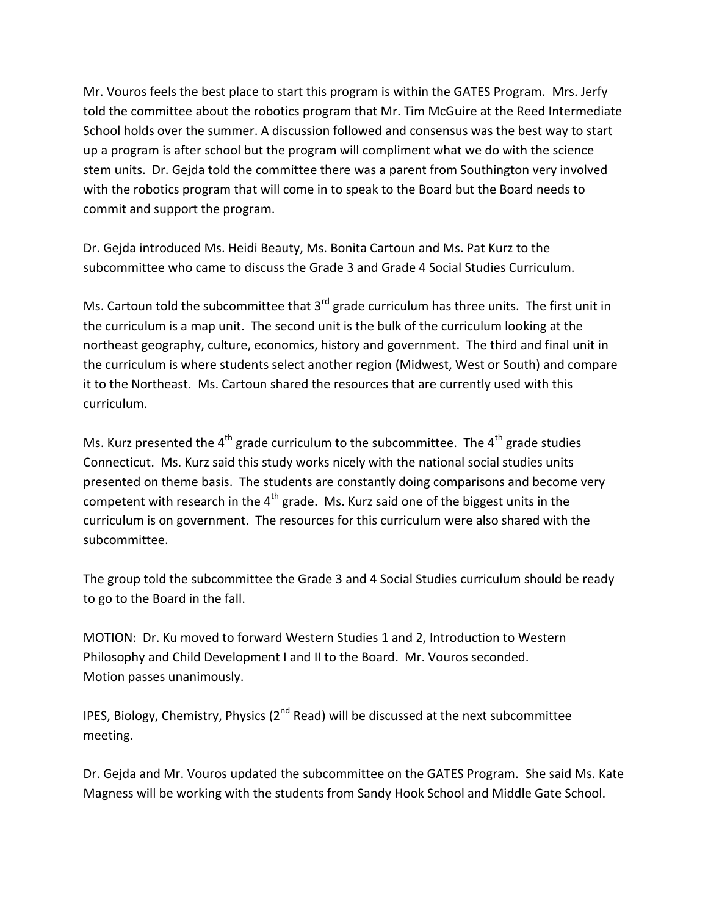Mr. Vouros feels the best place to start this program is within the GATES Program. Mrs. Jerfy told the committee about the robotics program that Mr. Tim McGuire at the Reed Intermediate School holds over the summer. A discussion followed and consensus was the best way to start up a program is after school but the program will compliment what we do with the science stem units. Dr. Gejda told the committee there was a parent from Southington very involved with the robotics program that will come in to speak to the Board but the Board needs to commit and support the program.

Dr. Gejda introduced Ms. Heidi Beauty, Ms. Bonita Cartoun and Ms. Pat Kurz to the subcommittee who came to discuss the Grade 3 and Grade 4 Social Studies Curriculum.

Ms. Cartoun told the subcommittee that 3<sup>rd</sup> grade curriculum has three units. The first unit in the curriculum is a map unit. The second unit is the bulk of the curriculum looking at the northeast geography, culture, economics, history and government. The third and final unit in the curriculum is where students select another region (Midwest, West or South) and compare it to the Northeast. Ms. Cartoun shared the resources that are currently used with this curriculum.

Ms. Kurz presented the  $4<sup>th</sup>$  grade curriculum to the subcommittee. The  $4<sup>th</sup>$  grade studies Connecticut. Ms. Kurz said this study works nicely with the national social studies units presented on theme basis. The students are constantly doing comparisons and become very competent with research in the  $4<sup>th</sup>$  grade. Ms. Kurz said one of the biggest units in the curriculum is on government. The resources for this curriculum were also shared with the subcommittee.

The group told the subcommittee the Grade 3 and 4 Social Studies curriculum should be ready to go to the Board in the fall.

MOTION: Dr. Ku moved to forward Western Studies 1 and 2, Introduction to Western Philosophy and Child Development I and II to the Board. Mr. Vouros seconded. Motion passes unanimously.

IPES, Biology, Chemistry, Physics ( $2<sup>nd</sup>$  Read) will be discussed at the next subcommittee meeting.

Dr. Gejda and Mr. Vouros updated the subcommittee on the GATES Program. She said Ms. Kate Magness will be working with the students from Sandy Hook School and Middle Gate School.